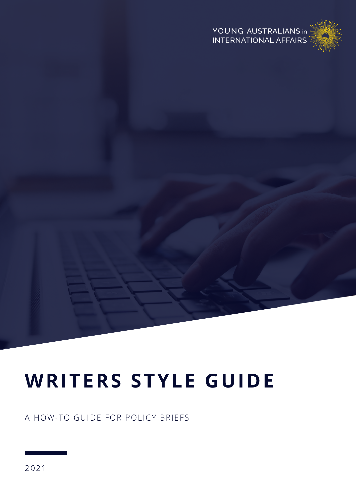#### YOUNG AUSTRALIANS in **INTERNATIONAL AFFAIRS**



# **WRITERS STYLE GUIDE**

A HOW-TO GUIDE FOR POLICY BRIEFS

2021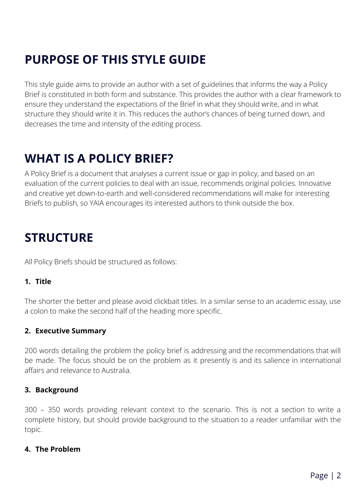# **PURPOSE OF THIS STYLE GUIDE**

This style guide aims to provide an author with a set of guidelines that informs the way a Policy Brief is constituted in both form and substance. This provides the author with a clear framework to ensure they understand the expectations of the Brief in what they should write, and in what structure they should write it in. This reduces the author's chances of being turned down, and decreases the time and intensity of the editing process.

### **WHAT IS A POLICY BRIEF?**

A Policy Brief is a document that analyses a current issue or gap in policy, and based on an evaluation of the current policies to deal with an issue, recommends original policies. Innovative and creative yet down-to-earth and well-considered recommendations will make for interesting Briefs to publish, so YAIA encourages its interested authors to think outside the box.

### **STRUCTURE**

All Policy Briefs should be structured as follows:

#### **1. Title**

The shorter the better and please avoid clickbait titles. In a similar sense to an academic essay, use a colon to make the second half of the heading more specific.

#### **2. Executive Summary**

200 words detailing the problem the policy brief is addressing and the recommendations that will be made. The focus should be on the problem as it presently is and its salience in international affairs and relevance to Australia.

#### **3. Background**

300 – 350 words providing relevant context to the scenario. This is not a section to write a complete history, but should provide background to the situation to a reader unfamiliar with the topic.

#### **4. The Problem**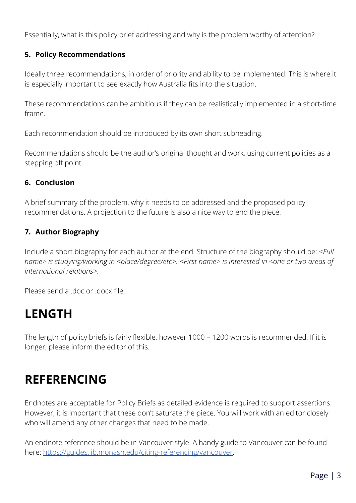Essentially, what is this policy brief addressing and why is the problem worthy of attention?

#### **5. Policy Recommendations**

Ideally three recommendations, in order of priority and ability to be implemented. This is where it is especially important to see exactly how Australia fits into the situation.

These recommendations can be ambitious if they can be realistically implemented in a short-time frame.

Each recommendation should be introduced by its own short subheading.

Recommendations should be the author's original thought and work, using current policies as a stepping off point.

#### **6. Conclusion**

A brief summary of the problem, why it needs to be addressed and the proposed policy recommendations. A projection to the future is also a nice way to end the piece.

#### **7. Author Biography**

Include a short biography for each author at the end. Structure of the biography should be: *<Full name> is studying/working in <place/degree/etc>. <First name> is interested in <one or two areas of international relations>.*

Please send a .doc or .docx file.

### **LENGTH**

The length of policy briefs is fairly flexible, however 1000 – 1200 words is recommended. If it is longer, please inform the editor of this.

### **REFERENCING**

Endnotes are acceptable for Policy Briefs as detailed evidence is required to support assertions. However, it is important that these don't saturate the piece. You will work with an editor closely who will amend any other changes that need to be made.

An endnote reference should be in Vancouver style. A handy guide to Vancouver can be found here: [https://guides.lib.monash.edu/citing-referencing/vancouver.](https://guides.lib.monash.edu/citing-referencing/vancouver)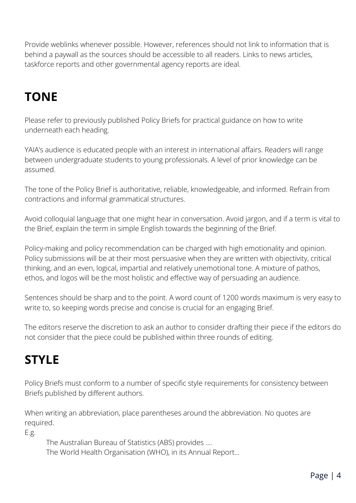Provide weblinks whenever possible. However, references should not link to information that is behind a paywall as the sources should be accessible to all readers. Links to news articles, taskforce reports and other governmental agency reports are ideal.

# **TONE**

Please refer to previously published Policy Briefs for practical guidance on how to write underneath each heading.

YAIA's audience is educated people with an interest in international affairs. Readers will range between undergraduate students to young professionals. A level of prior knowledge can be assumed.

The tone of the Policy Brief is authoritative, reliable, knowledgeable, and informed. Refrain from contractions and informal grammatical structures.

Avoid colloquial language that one might hear in conversation. Avoid jargon, and if a term is vital to the Brief, explain the term in simple English towards the beginning of the Brief.

Policy-making and policy recommendation can be charged with high emotionality and opinion. Policy submissions will be at their most persuasive when they are written with objectivity, critical thinking, and an even, logical, impartial and relatively unemotional tone. A mixture of pathos, ethos, and logos will be the most holistic and effective way of persuading an audience.

Sentences should be sharp and to the point. A word count of 1200 words maximum is very easy to write to, so keeping words precise and concise is crucial for an engaging Brief.

The editors reserve the discretion to ask an author to consider drafting their piece if the editors do not consider that the piece could be published within three rounds of editing.

# **STYLE**

Policy Briefs must conform to a number of specific style requirements for consistency between Briefs published by different authors.

When writing an abbreviation, place parentheses around the abbreviation. No quotes are required.

E.g.

The Australian Bureau of Statistics (ABS) provides …. The World Health Organisation (WHO), in its Annual Report…